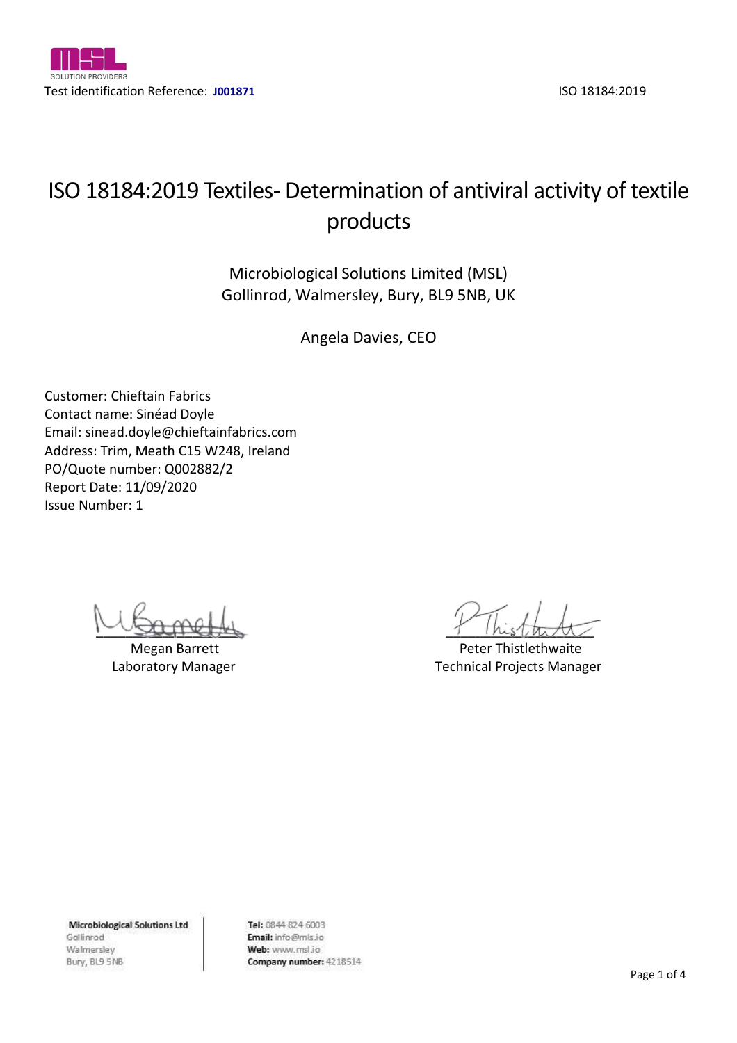

# ISO 18184:2019 Textiles- Determination of antiviral activity of textile products

Microbiological Solutions Limited (MSL) Gollinrod, Walmersley, Bury, BL9 5NB, UK

Angela Davies, CEO

Customer: Chieftain Fabrics Contact name: Sinéad Doyle Email: sinead.doyle@chieftainfabrics.com Address: Trim, Meath C15 W248, Ireland PO/Quote number: Q002882/2 Report Date: 11/09/2020 Issue Number: 1

\_\_\_\_\_\_\_\_\_\_\_\_\_\_\_\_\_\_\_\_ \_\_\_\_\_\_\_\_\_\_\_\_\_\_\_\_\_\_\_\_

Megan Barrett **Peter Thistlethwaite** Laboratory Manager Technical Projects Manager

**Microbiological Solutions Ltd** Gollinrod Walmersley Bury, BL9 5NB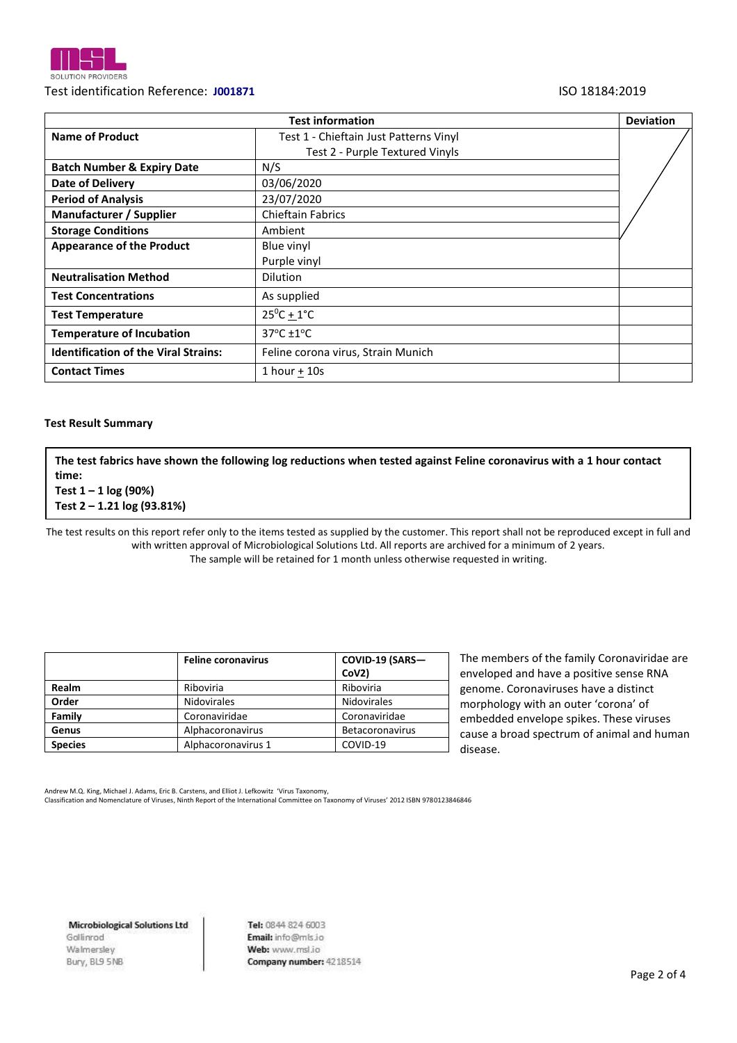

### Test identification Reference: **J001871** ISO 18184:2019

| <b>Test information</b><br><b>Deviation</b>                      |                                     |  |
|------------------------------------------------------------------|-------------------------------------|--|
| <b>Name of Product</b><br>Test 1 - Chieftain Just Patterns Vinyl |                                     |  |
|                                                                  | Test 2 - Purple Textured Vinyls     |  |
| <b>Batch Number &amp; Expiry Date</b>                            | N/S                                 |  |
| Date of Delivery                                                 | 03/06/2020                          |  |
| <b>Period of Analysis</b>                                        | 23/07/2020                          |  |
| <b>Manufacturer / Supplier</b>                                   | <b>Chieftain Fabrics</b>            |  |
| <b>Storage Conditions</b>                                        | Ambient                             |  |
| <b>Appearance of the Product</b>                                 | Blue vinyl                          |  |
|                                                                  | Purple vinyl                        |  |
| <b>Neutralisation Method</b>                                     | <b>Dilution</b>                     |  |
| <b>Test Concentrations</b>                                       | As supplied                         |  |
| <b>Test Temperature</b>                                          | $25^0C + 1^{\circ}C$                |  |
| <b>Temperature of Incubation</b>                                 | $37^{\circ}$ C $\pm$ 1 $^{\circ}$ C |  |
| <b>Identification of the Viral Strains:</b>                      | Feline corona virus, Strain Munich  |  |
| <b>Contact Times</b>                                             | $1 hour + 10s$                      |  |

#### **Test Result Summary**

**The test fabrics have shown the following log reductions when tested against Feline coronavirus with a 1 hour contact time:**

The test results on this report refer only to the items tested as supplied by the customer. This report shall not be reproduced except in full and with written approval of Microbiological Solutions Ltd. All reports are archived for a minimum of 2 years. The sample will be retained for 1 month unless otherwise requested in writing.

|                | <b>Feline coronavirus</b> | COVID-19 (SARS-        |  |
|----------------|---------------------------|------------------------|--|
|                |                           | CoV <sub>2</sub> )     |  |
| Realm          | Riboviria                 | Riboviria              |  |
| Order          | <b>Nidovirales</b>        | <b>Nidovirales</b>     |  |
| Family         | Coronaviridae             | Coronaviridae          |  |
| Genus          | Alphacoronavirus          | <b>Betacoronavirus</b> |  |
| <b>Species</b> | Alphacoronavirus 1        | COVID-19               |  |

The members of the family Coronaviridae are enveloped and have a positive sense RNA genome. Coronaviruses have a distinct morphology with an outer 'corona' of embedded envelope spikes. These viruses cause a broad spectrum of animal and human disease.

Andrew M.Q. King, Michael J. Adams, Eric B. Carstens, and Elliot J. Lefkowitz 'Virus Taxonomy,

Classification and Nomenclature of Viruses, Ninth Report of the International Committee on Taxonomy of Viruses' 2012 ISBN 9780123846846

**Microbiological Solutions Ltd** Golfinrod Walmersley Bury, BL9 5NB

**Test 1 – 1 log (90%) Test 2 – 1.21 log (93.81%)**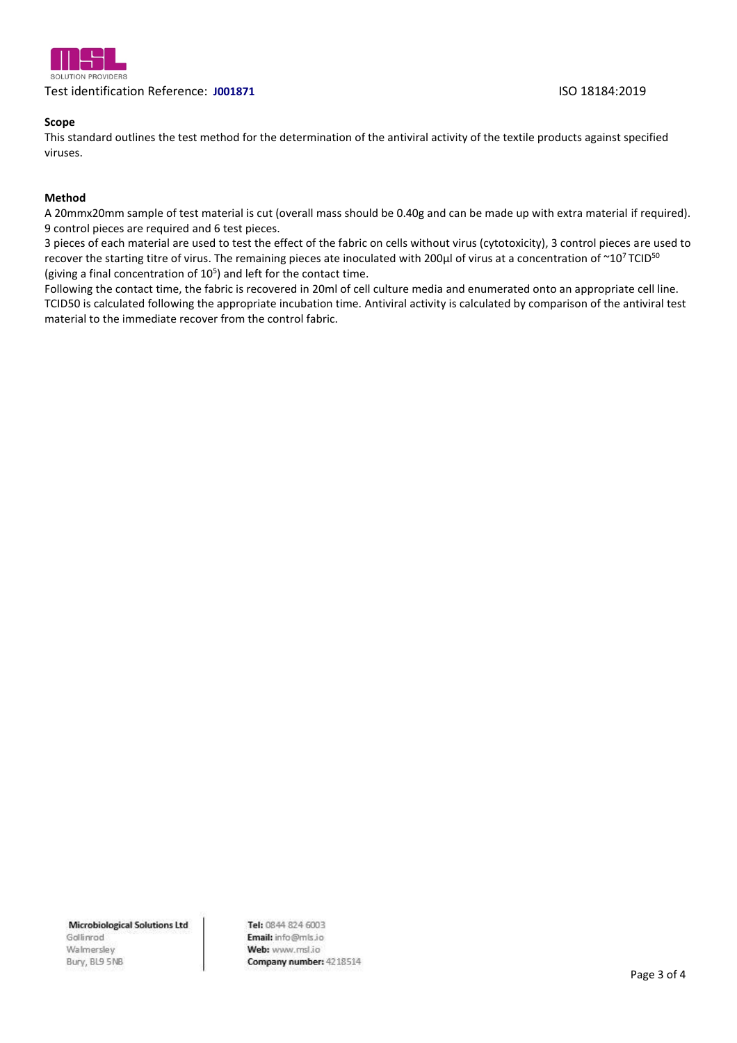

# Test identification Reference: **J001871** ISO 18184:2019

### **Scope**

This standard outlines the test method for the determination of the antiviral activity of the textile products against specified viruses.

#### **Method**

A 20mmx20mm sample of test material is cut (overall mass should be 0.40g and can be made up with extra material if required). 9 control pieces are required and 6 test pieces.

3 pieces of each material are used to test the effect of the fabric on cells without virus (cytotoxicity), 3 control pieces are used to recover the starting titre of virus. The remaining pieces ate inoculated with 200 $\mu$ l of virus at a concentration of  $\sim$ 10<sup>7</sup>TCID<sup>50</sup> (giving a final concentration of  $10<sup>5</sup>$ ) and left for the contact time.

Following the contact time, the fabric is recovered in 20ml of cell culture media and enumerated onto an appropriate cell line. TCID50 is calculated following the appropriate incubation time. Antiviral activity is calculated by comparison of the antiviral test material to the immediate recover from the control fabric.

**Microbiological Solutions Ltd** Gollinrod Walmersley Bury, BL9 5NB